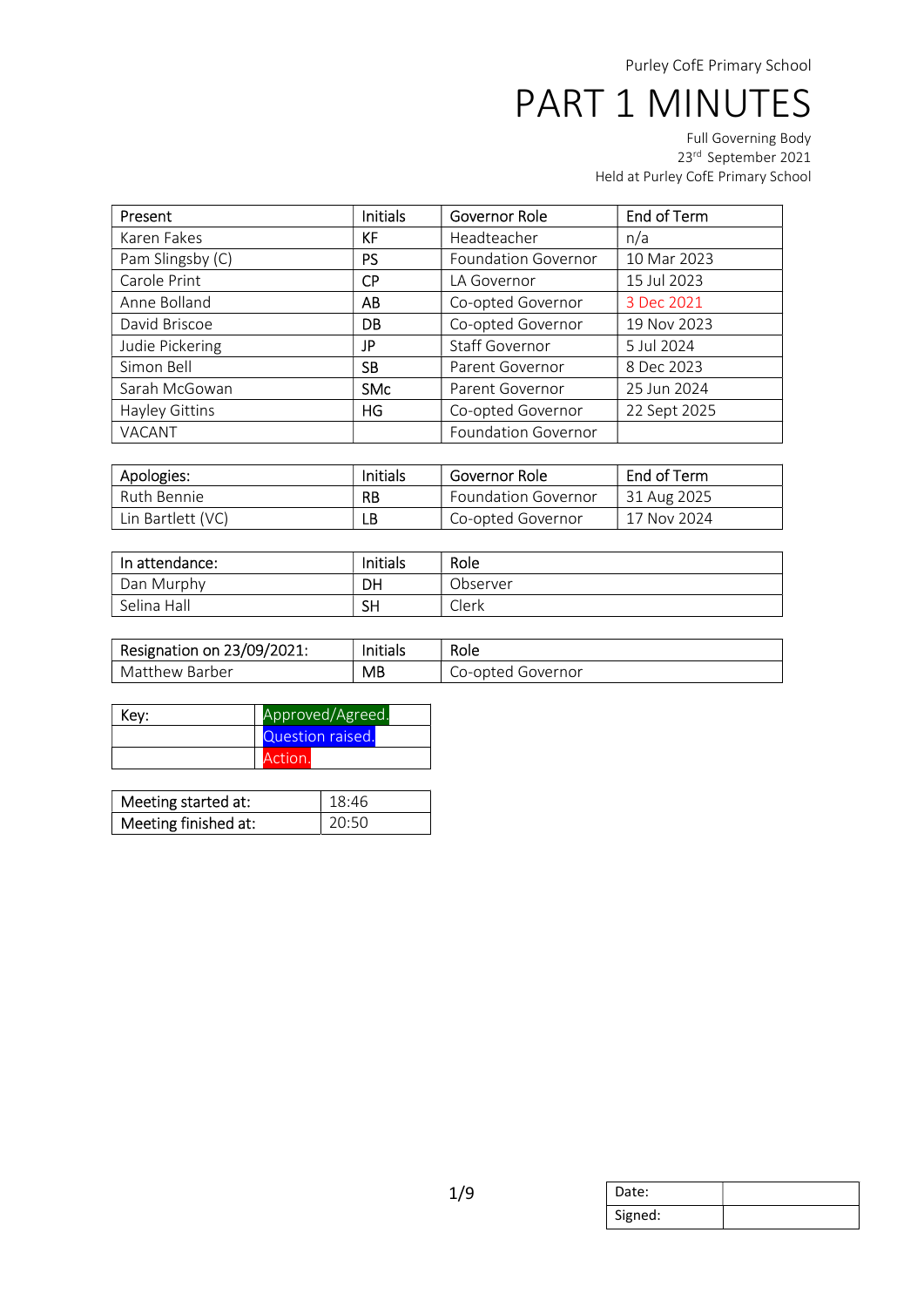| Present          | <b>Initials</b> | Governor Role              | End of Term  |
|------------------|-----------------|----------------------------|--------------|
| Karen Fakes      | KF              | Headteacher                | n/a          |
| Pam Slingsby (C) | <b>PS</b>       | <b>Foundation Governor</b> | 10 Mar 2023  |
| Carole Print     | <b>CP</b>       | LA Governor                | 15 Jul 2023  |
| Anne Bolland     | AB              | Co-opted Governor          | 3 Dec 2021   |
| David Briscoe    | <b>DB</b>       | Co-opted Governor          | 19 Nov 2023  |
| Judie Pickering  | JP.             | Staff Governor             | 5 Jul 2024   |
| Simon Bell       | <b>SB</b>       | Parent Governor            | 8 Dec 2023   |
| Sarah McGowan    | <b>SMc</b>      | Parent Governor            | 25 Jun 2024  |
| Hayley Gittins   | HG              | Co-opted Governor          | 22 Sept 2025 |
| VACANT           |                 | <b>Foundation Governor</b> |              |

| Apologies:        | <b>Initials</b> | Governor Role              | End of Term |
|-------------------|-----------------|----------------------------|-------------|
| Ruth Bennie       | <b>RB</b>       | <b>Foundation Governor</b> | 31 Aug 2025 |
| Lin Bartlett (VC) | LB              | Co-opted Governor          | 17 Nov 2024 |

| In attendance: | Initials  | Role     |
|----------------|-----------|----------|
| Dan Murphy     | DH        | Observer |
| Selina Hall    | <b>SH</b> | Clerk    |

| Resignation on 23/09/2021: | Initials | Role              |
|----------------------------|----------|-------------------|
| Matthew Barber             | MB       | Co-opted Governor |

| Key: | Approved/Agreed. |  |
|------|------------------|--|
|      | Question raised. |  |
|      | Action.          |  |

| Meeting started at:  | 18:46 |
|----------------------|-------|
| Meeting finished at: | 20:50 |

| Date:   |  |
|---------|--|
| Signed: |  |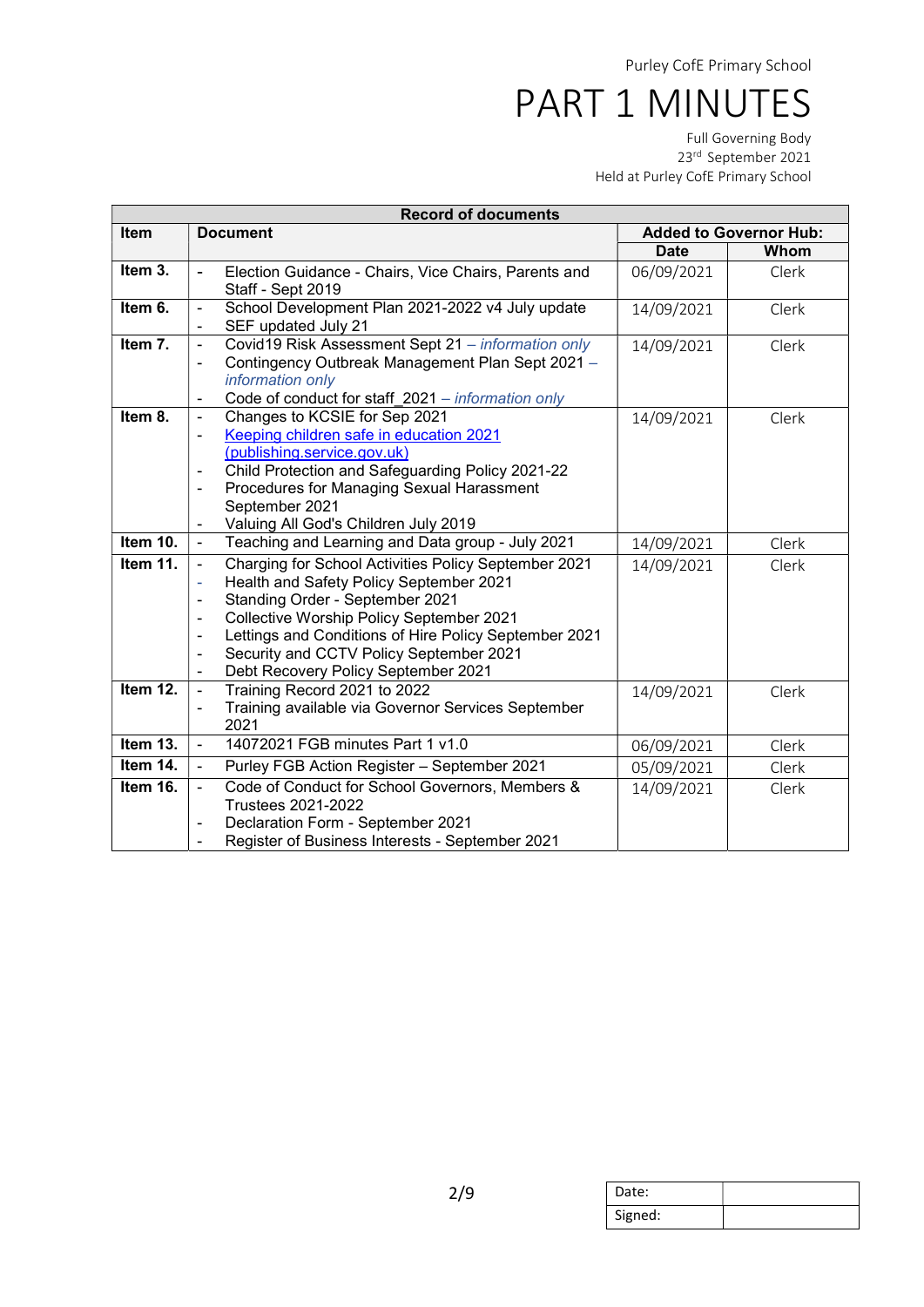| <b>Record of documents</b> |                                                                                                                     |             |                               |  |
|----------------------------|---------------------------------------------------------------------------------------------------------------------|-------------|-------------------------------|--|
| Item                       | <b>Document</b>                                                                                                     |             | <b>Added to Governor Hub:</b> |  |
|                            |                                                                                                                     | <b>Date</b> | Whom                          |  |
| Item $3.$                  | Election Guidance - Chairs, Vice Chairs, Parents and<br>ä,                                                          | 06/09/2021  | Clerk                         |  |
|                            | Staff - Sept 2019                                                                                                   |             |                               |  |
| Item 6.                    | School Development Plan 2021-2022 v4 July update<br>$\blacksquare$                                                  | 14/09/2021  | Clerk                         |  |
|                            | SEF updated July 21<br>÷                                                                                            |             |                               |  |
| Item 7.                    | Covid19 Risk Assessment Sept 21 - information only<br>$\blacksquare$                                                | 14/09/2021  | Clerk                         |  |
|                            | Contingency Outbreak Management Plan Sept 2021 -<br>÷                                                               |             |                               |  |
|                            | information only                                                                                                    |             |                               |  |
|                            | Code of conduct for staff_2021 - information only<br>$\overline{\phantom{a}}$                                       |             |                               |  |
| Item 8.                    | Changes to KCSIE for Sep 2021<br>$\blacksquare$                                                                     | 14/09/2021  | Clerk                         |  |
|                            | Keeping children safe in education 2021<br>۰                                                                        |             |                               |  |
|                            | (publishing.service.gov.uk)                                                                                         |             |                               |  |
|                            | Child Protection and Safeguarding Policy 2021-22                                                                    |             |                               |  |
|                            | Procedures for Managing Sexual Harassment                                                                           |             |                               |  |
|                            | September 2021                                                                                                      |             |                               |  |
| Item 10.                   | Valuing All God's Children July 2019<br>$\blacksquare$<br>$\overline{\phantom{a}}$                                  |             |                               |  |
|                            | Teaching and Learning and Data group - July 2021                                                                    | 14/09/2021  | Clerk                         |  |
| Item 11.                   | Charging for School Activities Policy September 2021<br>$\blacksquare$                                              | 14/09/2021  | Clerk                         |  |
|                            | Health and Safety Policy September 2021<br>ä,                                                                       |             |                               |  |
|                            | Standing Order - September 2021<br>$\blacksquare$                                                                   |             |                               |  |
|                            | Collective Worship Policy September 2021<br>$\blacksquare$<br>Lettings and Conditions of Hire Policy September 2021 |             |                               |  |
|                            | Security and CCTV Policy September 2021<br>$\blacksquare$                                                           |             |                               |  |
|                            | Debt Recovery Policy September 2021<br>$\overline{\phantom{a}}$                                                     |             |                               |  |
| Item 12.                   | Training Record 2021 to 2022<br>$\blacksquare$                                                                      | 14/09/2021  | Clerk                         |  |
|                            | Training available via Governor Services September<br>$\overline{\phantom{0}}$                                      |             |                               |  |
|                            | 2021                                                                                                                |             |                               |  |
| Item 13.                   | 14072021 FGB minutes Part 1 v1.0<br>÷,                                                                              | 06/09/2021  | Clerk                         |  |
| Item 14.                   | Purley FGB Action Register - September 2021<br>$\blacksquare$                                                       | 05/09/2021  | Clerk                         |  |
| Item 16.                   | Code of Conduct for School Governors, Members &<br>$\blacksquare$                                                   | 14/09/2021  | Clerk                         |  |
|                            | <b>Trustees 2021-2022</b>                                                                                           |             |                               |  |
|                            | Declaration Form - September 2021                                                                                   |             |                               |  |
|                            | Register of Business Interests - September 2021                                                                     |             |                               |  |

| Date:   |  |
|---------|--|
| Signed: |  |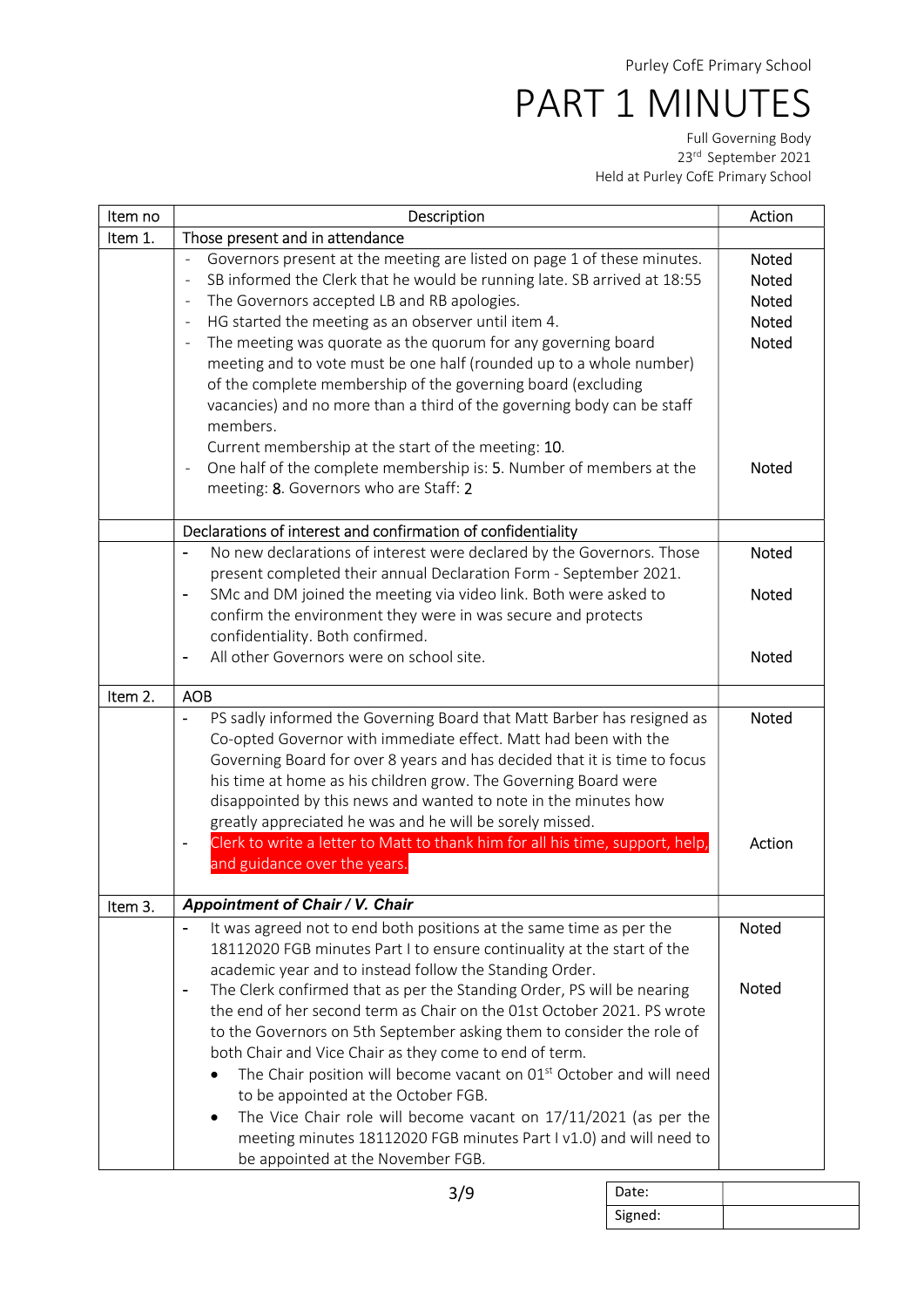| Item no | Description                                                                                                                                                                                                                                                                                                                                                                                                                                                                                                                                                                                                                                                                                                                                                                                                                                                 | Action                                                                                       |
|---------|-------------------------------------------------------------------------------------------------------------------------------------------------------------------------------------------------------------------------------------------------------------------------------------------------------------------------------------------------------------------------------------------------------------------------------------------------------------------------------------------------------------------------------------------------------------------------------------------------------------------------------------------------------------------------------------------------------------------------------------------------------------------------------------------------------------------------------------------------------------|----------------------------------------------------------------------------------------------|
| Item 1. | Those present and in attendance                                                                                                                                                                                                                                                                                                                                                                                                                                                                                                                                                                                                                                                                                                                                                                                                                             |                                                                                              |
|         | Governors present at the meeting are listed on page 1 of these minutes.<br>÷,<br>SB informed the Clerk that he would be running late. SB arrived at 18:55<br>$\overline{\phantom{a}}$<br>The Governors accepted LB and RB apologies.<br>$\overline{\phantom{a}}$<br>HG started the meeting as an observer until item 4.<br>$\overline{\phantom{m}}$<br>The meeting was quorate as the quorum for any governing board<br>$\overline{\phantom{a}}$<br>meeting and to vote must be one half (rounded up to a whole number)<br>of the complete membership of the governing board (excluding<br>vacancies) and no more than a third of the governing body can be staff<br>members.<br>Current membership at the start of the meeting: 10.<br>One half of the complete membership is: 5. Number of members at the<br>÷,<br>meeting: 8. Governors who are Staff: 2 | <b>Noted</b><br><b>Noted</b><br><b>Noted</b><br><b>Noted</b><br><b>Noted</b><br><b>Noted</b> |
|         | Declarations of interest and confirmation of confidentiality                                                                                                                                                                                                                                                                                                                                                                                                                                                                                                                                                                                                                                                                                                                                                                                                |                                                                                              |
|         | No new declarations of interest were declared by the Governors. Those<br>present completed their annual Declaration Form - September 2021.                                                                                                                                                                                                                                                                                                                                                                                                                                                                                                                                                                                                                                                                                                                  | <b>Noted</b>                                                                                 |
|         | SMc and DM joined the meeting via video link. Both were asked to<br>$\overline{\phantom{a}}$<br>confirm the environment they were in was secure and protects<br>confidentiality. Both confirmed.                                                                                                                                                                                                                                                                                                                                                                                                                                                                                                                                                                                                                                                            | <b>Noted</b>                                                                                 |
|         | All other Governors were on school site.                                                                                                                                                                                                                                                                                                                                                                                                                                                                                                                                                                                                                                                                                                                                                                                                                    | <b>Noted</b>                                                                                 |
| Item 2. | <b>AOB</b>                                                                                                                                                                                                                                                                                                                                                                                                                                                                                                                                                                                                                                                                                                                                                                                                                                                  |                                                                                              |
|         | PS sadly informed the Governing Board that Matt Barber has resigned as<br>Co-opted Governor with immediate effect. Matt had been with the<br>Governing Board for over 8 years and has decided that it is time to focus<br>his time at home as his children grow. The Governing Board were<br>disappointed by this news and wanted to note in the minutes how<br>greatly appreciated he was and he will be sorely missed.                                                                                                                                                                                                                                                                                                                                                                                                                                    | <b>Noted</b>                                                                                 |
|         | Clerk to write a letter to Matt to thank him for all his time, support, help,<br>$\overline{\phantom{a}}$<br>and guidance over the years.                                                                                                                                                                                                                                                                                                                                                                                                                                                                                                                                                                                                                                                                                                                   | Action                                                                                       |
| Item 3. | <b>Appointment of Chair / V. Chair</b>                                                                                                                                                                                                                                                                                                                                                                                                                                                                                                                                                                                                                                                                                                                                                                                                                      |                                                                                              |
|         | It was agreed not to end both positions at the same time as per the<br>18112020 FGB minutes Part I to ensure continuality at the start of the<br>academic year and to instead follow the Standing Order.                                                                                                                                                                                                                                                                                                                                                                                                                                                                                                                                                                                                                                                    | Noted                                                                                        |
|         | The Clerk confirmed that as per the Standing Order, PS will be nearing<br>$\overline{a}$<br>the end of her second term as Chair on the 01st October 2021. PS wrote<br>to the Governors on 5th September asking them to consider the role of<br>both Chair and Vice Chair as they come to end of term.<br>The Chair position will become vacant on 01 <sup>st</sup> October and will need<br>to be appointed at the October FGB.<br>The Vice Chair role will become vacant on 17/11/2021 (as per the<br>٠<br>meeting minutes 18112020 FGB minutes Part I v1.0) and will need to<br>be appointed at the November FGB.                                                                                                                                                                                                                                         | Noted                                                                                        |

| Date:   |  |
|---------|--|
| Signed: |  |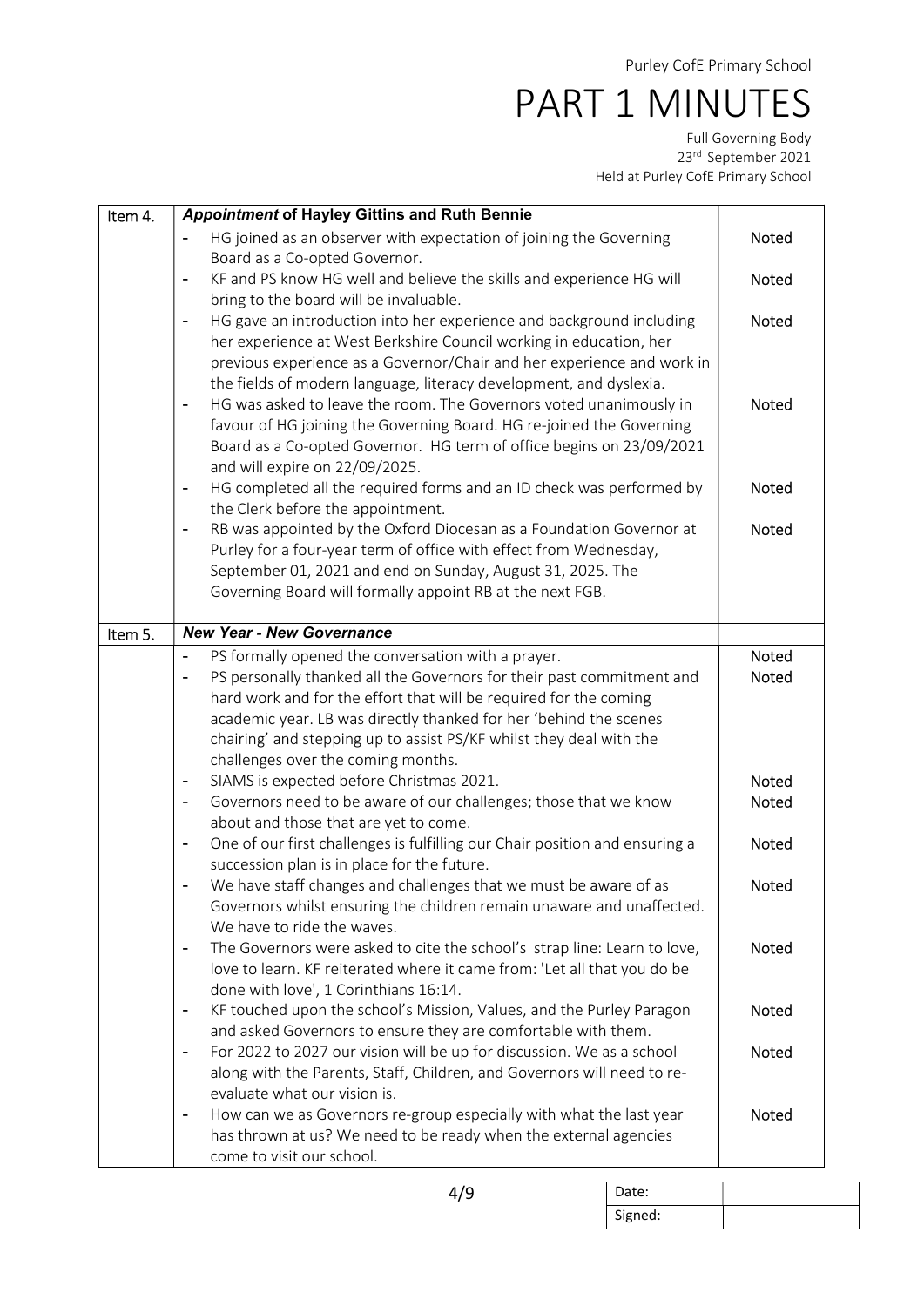| Item 4. | <b>Appointment of Hayley Gittins and Ruth Bennie</b>                                                                                                                                                                                                                                                                                           |              |
|---------|------------------------------------------------------------------------------------------------------------------------------------------------------------------------------------------------------------------------------------------------------------------------------------------------------------------------------------------------|--------------|
|         | HG joined as an observer with expectation of joining the Governing<br>Board as a Co-opted Governor.                                                                                                                                                                                                                                            | <b>Noted</b> |
|         | KF and PS know HG well and believe the skills and experience HG will                                                                                                                                                                                                                                                                           | <b>Noted</b> |
|         | bring to the board will be invaluable.<br>HG gave an introduction into her experience and background including<br>$\blacksquare$                                                                                                                                                                                                               | <b>Noted</b> |
|         | her experience at West Berkshire Council working in education, her<br>previous experience as a Governor/Chair and her experience and work in<br>the fields of modern language, literacy development, and dyslexia.                                                                                                                             |              |
|         | HG was asked to leave the room. The Governors voted unanimously in<br>$\blacksquare$<br>favour of HG joining the Governing Board. HG re-joined the Governing<br>Board as a Co-opted Governor. HG term of office begins on 23/09/2021<br>and will expire on 22/09/2025.                                                                         | Noted        |
|         | HG completed all the required forms and an ID check was performed by<br>$\blacksquare$<br>the Clerk before the appointment.                                                                                                                                                                                                                    | <b>Noted</b> |
|         | RB was appointed by the Oxford Diocesan as a Foundation Governor at<br>$\overline{\phantom{a}}$                                                                                                                                                                                                                                                | Noted        |
|         | Purley for a four-year term of office with effect from Wednesday,<br>September 01, 2021 and end on Sunday, August 31, 2025. The                                                                                                                                                                                                                |              |
|         | Governing Board will formally appoint RB at the next FGB.                                                                                                                                                                                                                                                                                      |              |
|         |                                                                                                                                                                                                                                                                                                                                                |              |
| Item 5. | <b>New Year - New Governance</b>                                                                                                                                                                                                                                                                                                               |              |
|         | PS formally opened the conversation with a prayer.                                                                                                                                                                                                                                                                                             | Noted        |
|         | PS personally thanked all the Governors for their past commitment and<br>$\blacksquare$<br>hard work and for the effort that will be required for the coming<br>academic year. LB was directly thanked for her 'behind the scenes<br>chairing' and stepping up to assist PS/KF whilst they deal with the<br>challenges over the coming months. | Noted        |
|         | SIAMS is expected before Christmas 2021.                                                                                                                                                                                                                                                                                                       | <b>Noted</b> |
|         | Governors need to be aware of our challenges; those that we know<br>about and those that are yet to come.                                                                                                                                                                                                                                      | Noted        |
|         | One of our first challenges is fulfilling our Chair position and ensuring a<br>$\blacksquare$<br>succession plan is in place for the future.                                                                                                                                                                                                   | <b>Noted</b> |
|         | We have staff changes and challenges that we must be aware of as<br>Governors whilst ensuring the children remain unaware and unaffected.<br>We have to ride the waves.                                                                                                                                                                        | <b>Noted</b> |
|         | The Governors were asked to cite the school's strap line: Learn to love,<br>$\blacksquare$<br>love to learn. KF reiterated where it came from: 'Let all that you do be<br>done with love', 1 Corinthians 16:14.                                                                                                                                | Noted        |
|         | KF touched upon the school's Mission, Values, and the Purley Paragon<br>$\overline{a}$                                                                                                                                                                                                                                                         | <b>Noted</b> |
|         | and asked Governors to ensure they are comfortable with them.                                                                                                                                                                                                                                                                                  |              |
|         | For 2022 to 2027 our vision will be up for discussion. We as a school<br>along with the Parents, Staff, Children, and Governors will need to re-                                                                                                                                                                                               | <b>Noted</b> |
|         | evaluate what our vision is.                                                                                                                                                                                                                                                                                                                   |              |
|         | How can we as Governors re-group especially with what the last year<br>$\blacksquare$                                                                                                                                                                                                                                                          | <b>Noted</b> |
|         | has thrown at us? We need to be ready when the external agencies                                                                                                                                                                                                                                                                               |              |
|         | come to visit our school.                                                                                                                                                                                                                                                                                                                      |              |

| Date:   |  |
|---------|--|
| Signed: |  |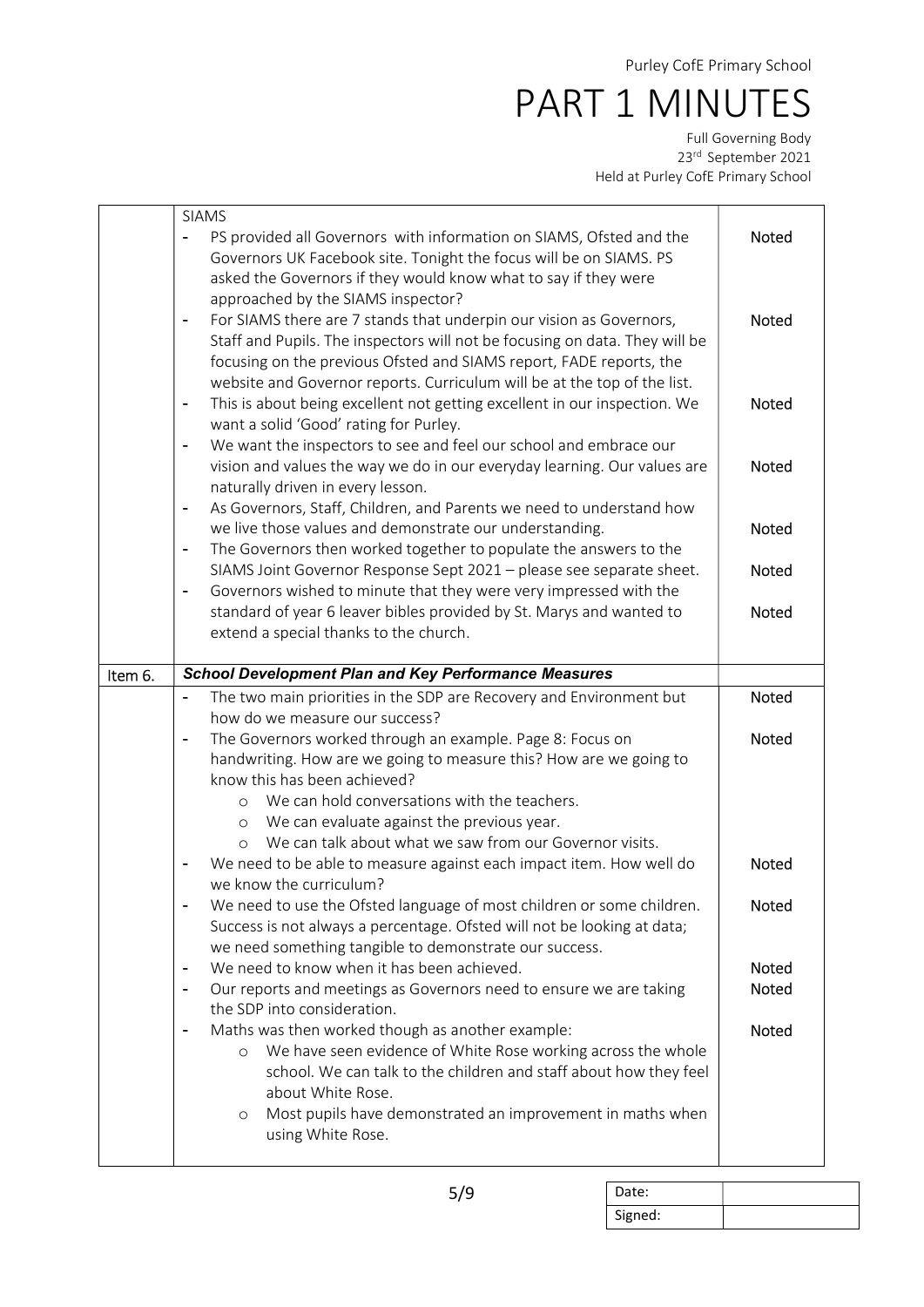|         | <b>SIAMS</b>                                                                                                                                                                                                                                                                                                                          |              |
|---------|---------------------------------------------------------------------------------------------------------------------------------------------------------------------------------------------------------------------------------------------------------------------------------------------------------------------------------------|--------------|
|         | PS provided all Governors with information on SIAMS, Ofsted and the<br>$\blacksquare$<br>Governors UK Facebook site. Tonight the focus will be on SIAMS. PS<br>asked the Governors if they would know what to say if they were                                                                                                        | Noted        |
|         | approached by the SIAMS inspector?<br>For SIAMS there are 7 stands that underpin our vision as Governors,<br>$\blacksquare$<br>Staff and Pupils. The inspectors will not be focusing on data. They will be<br>focusing on the previous Ofsted and SIAMS report, FADE reports, the                                                     | <b>Noted</b> |
|         | website and Governor reports. Curriculum will be at the top of the list.<br>This is about being excellent not getting excellent in our inspection. We<br>$\blacksquare$<br>want a solid 'Good' rating for Purley.                                                                                                                     | Noted        |
|         | We want the inspectors to see and feel our school and embrace our<br>$\blacksquare$<br>vision and values the way we do in our everyday learning. Our values are<br>naturally driven in every lesson.                                                                                                                                  | Noted        |
|         | As Governors, Staff, Children, and Parents we need to understand how<br>$\blacksquare$<br>we live those values and demonstrate our understanding.<br>The Governors then worked together to populate the answers to the<br>$\overline{\phantom{0}}$                                                                                    | <b>Noted</b> |
|         | SIAMS Joint Governor Response Sept 2021 - please see separate sheet.<br>Governors wished to minute that they were very impressed with the<br>$\qquad \qquad \blacksquare$                                                                                                                                                             | Noted        |
|         | standard of year 6 leaver bibles provided by St. Marys and wanted to<br>extend a special thanks to the church.                                                                                                                                                                                                                        | <b>Noted</b> |
| Item 6. | <b>School Development Plan and Key Performance Measures</b>                                                                                                                                                                                                                                                                           |              |
|         | The two main priorities in the SDP are Recovery and Environment but<br>$\blacksquare$                                                                                                                                                                                                                                                 | <b>Noted</b> |
|         | how do we measure our success?                                                                                                                                                                                                                                                                                                        |              |
|         | The Governors worked through an example. Page 8: Focus on<br>$\overline{\phantom{a}}$<br>handwriting. How are we going to measure this? How are we going to                                                                                                                                                                           | Noted        |
|         | know this has been achieved?<br>We can hold conversations with the teachers.<br>$\circ$                                                                                                                                                                                                                                               |              |
|         | We can evaluate against the previous year.<br>$\circ$<br>We can talk about what we saw from our Governor visits.<br>$\circ$                                                                                                                                                                                                           |              |
|         | We need to be able to measure against each impact item. How well do<br>we know the curriculum?                                                                                                                                                                                                                                        | <b>Noted</b> |
|         | We need to use the Ofsted language of most children or some children.<br>Success is not always a percentage. Ofsted will not be looking at data;<br>we need something tangible to demonstrate our success.                                                                                                                            | Noted        |
|         | We need to know when it has been achieved.<br>$\overline{\phantom{0}}$                                                                                                                                                                                                                                                                | Noted        |
|         | Our reports and meetings as Governors need to ensure we are taking<br>$\blacksquare$<br>the SDP into consideration.                                                                                                                                                                                                                   | <b>Noted</b> |
|         | Maths was then worked though as another example:<br>$\overline{a}$<br>We have seen evidence of White Rose working across the whole<br>$\circ$<br>school. We can talk to the children and staff about how they feel<br>about White Rose.<br>Most pupils have demonstrated an improvement in maths when<br>$\circ$<br>using White Rose. | <b>Noted</b> |

| Date:   |  |
|---------|--|
| Signed: |  |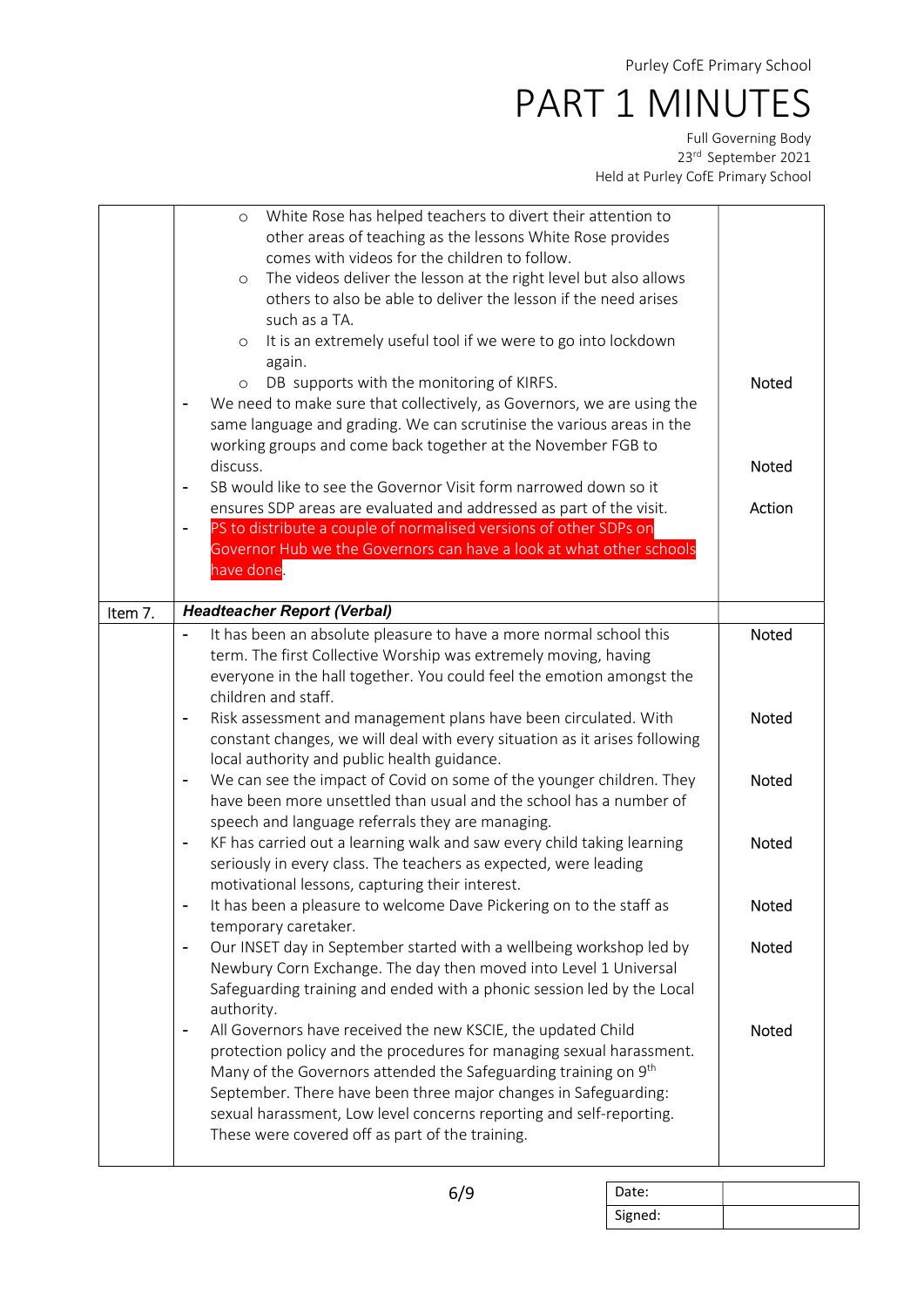|         | White Rose has helped teachers to divert their attention to<br>$\circ$                          |              |
|---------|-------------------------------------------------------------------------------------------------|--------------|
|         | other areas of teaching as the lessons White Rose provides                                      |              |
|         | comes with videos for the children to follow.                                                   |              |
|         | The videos deliver the lesson at the right level but also allows<br>$\circ$                     |              |
|         | others to also be able to deliver the lesson if the need arises                                 |              |
|         | such as a TA.                                                                                   |              |
|         | It is an extremely useful tool if we were to go into lockdown<br>$\circ$                        |              |
|         | again.                                                                                          |              |
|         | DB supports with the monitoring of KIRFS.<br>$\circ$                                            | <b>Noted</b> |
|         | We need to make sure that collectively, as Governors, we are using the                          |              |
|         | same language and grading. We can scrutinise the various areas in the                           |              |
|         | working groups and come back together at the November FGB to                                    |              |
|         | discuss.                                                                                        | Noted        |
|         | SB would like to see the Governor Visit form narrowed down so it                                |              |
|         | ensures SDP areas are evaluated and addressed as part of the visit.                             | Action       |
|         | PS to distribute a couple of normalised versions of other SDPs on                               |              |
|         | Governor Hub we the Governors can have a look at what other schools                             |              |
|         | have done.                                                                                      |              |
|         |                                                                                                 |              |
| Item 7. | <b>Headteacher Report (Verbal)</b>                                                              |              |
|         | It has been an absolute pleasure to have a more normal school this                              | <b>Noted</b> |
|         | term. The first Collective Worship was extremely moving, having                                 |              |
|         | everyone in the hall together. You could feel the emotion amongst the                           |              |
|         | children and staff.                                                                             |              |
|         | Risk assessment and management plans have been circulated. With<br>$\blacksquare$               | Noted        |
|         | constant changes, we will deal with every situation as it arises following                      |              |
|         | local authority and public health guidance.                                                     |              |
|         | We can see the impact of Covid on some of the younger children. They<br>$\blacksquare$          | <b>Noted</b> |
|         | have been more unsettled than usual and the school has a number of                              |              |
|         | speech and language referrals they are managing.                                                |              |
|         | KF has carried out a learning walk and saw every child taking learning                          | <b>Noted</b> |
|         | seriously in every class. The teachers as expected, were leading                                |              |
|         | motivational lessons, capturing their interest.                                                 |              |
|         | It has been a pleasure to welcome Dave Pickering on to the staff as                             | Noted        |
|         | temporary caretaker.                                                                            |              |
|         | Our INSET day in September started with a wellbeing workshop led by<br>$\overline{\phantom{a}}$ | <b>Noted</b> |
|         | Newbury Corn Exchange. The day then moved into Level 1 Universal                                |              |
|         | Safeguarding training and ended with a phonic session led by the Local                          |              |
|         | authority.                                                                                      |              |
|         | All Governors have received the new KSCIE, the updated Child<br>$\blacksquare$                  | <b>Noted</b> |
|         | protection policy and the procedures for managing sexual harassment.                            |              |
|         | Many of the Governors attended the Safeguarding training on 9 <sup>th</sup>                     |              |
|         |                                                                                                 |              |
|         |                                                                                                 |              |
|         | September. There have been three major changes in Safeguarding:                                 |              |
|         | sexual harassment, Low level concerns reporting and self-reporting.                             |              |
|         | These were covered off as part of the training.                                                 |              |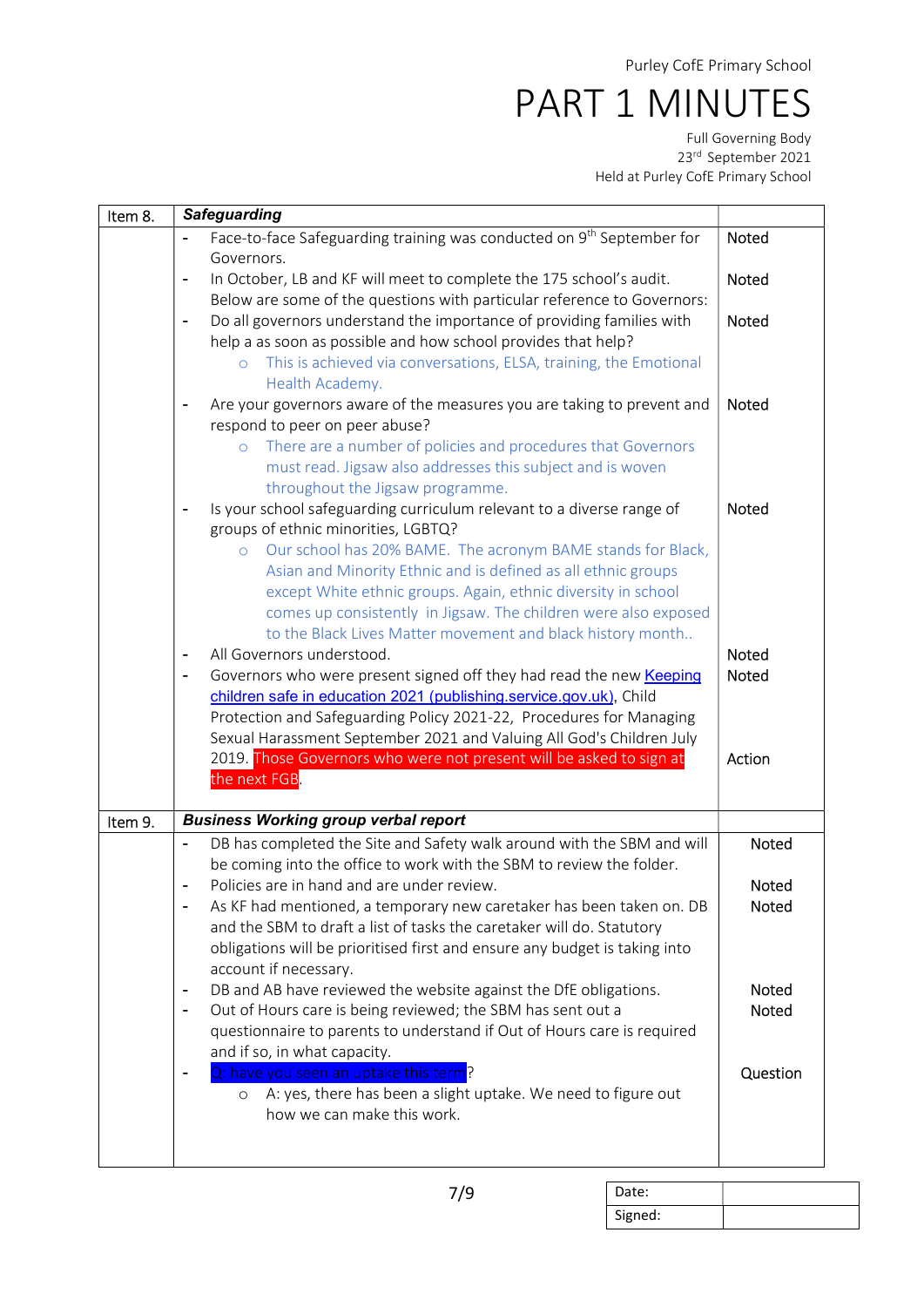| Item 8. | <b>Safeguarding</b>                                                                                          |              |
|---------|--------------------------------------------------------------------------------------------------------------|--------------|
|         | Face-to-face Safeguarding training was conducted on 9 <sup>th</sup> September for                            | Noted        |
|         | Governors.                                                                                                   |              |
|         | In October, LB and KF will meet to complete the 175 school's audit.<br>$\overline{\phantom{a}}$              | Noted        |
|         | Below are some of the questions with particular reference to Governors:                                      |              |
|         | Do all governors understand the importance of providing families with<br>$\blacksquare$                      | <b>Noted</b> |
|         | help a as soon as possible and how school provides that help?                                                |              |
|         | This is achieved via conversations, ELSA, training, the Emotional                                            |              |
|         | Health Academy.                                                                                              |              |
|         | Are your governors aware of the measures you are taking to prevent and<br>$\blacksquare$                     | Noted        |
|         | respond to peer on peer abuse?                                                                               |              |
|         | There are a number of policies and procedures that Governors<br>$\circ$                                      |              |
|         | must read. Jigsaw also addresses this subject and is woven                                                   |              |
|         | throughout the Jigsaw programme.                                                                             |              |
|         | Is your school safeguarding curriculum relevant to a diverse range of<br>groups of ethnic minorities, LGBTQ? | <b>Noted</b> |
|         | Our school has 20% BAME. The acronym BAME stands for Black,<br>$\circ$                                       |              |
|         | Asian and Minority Ethnic and is defined as all ethnic groups                                                |              |
|         | except White ethnic groups. Again, ethnic diversity in school                                                |              |
|         | comes up consistently in Jigsaw. The children were also exposed                                              |              |
|         | to the Black Lives Matter movement and black history month                                                   |              |
|         | All Governors understood.<br>$\overline{a}$                                                                  | <b>Noted</b> |
|         | Governors who were present signed off they had read the new Keeping                                          | <b>Noted</b> |
|         | children safe in education 2021 (publishing.service.gov.uk), Child                                           |              |
|         | Protection and Safeguarding Policy 2021-22, Procedures for Managing                                          |              |
|         | Sexual Harassment September 2021 and Valuing All God's Children July                                         |              |
|         | 2019. Those Governors who were not present will be asked to sign at                                          | Action       |
|         | the next FGB.                                                                                                |              |
| Item 9. | <b>Business Working group verbal report</b>                                                                  |              |
|         | DB has completed the Site and Safety walk around with the SBM and will<br>$\blacksquare$                     | <b>Noted</b> |
|         | be coming into the office to work with the SBM to review the folder.                                         |              |
|         | Policies are in hand and are under review.<br>$\overline{\phantom{a}}$                                       | <b>Noted</b> |
|         | As KF had mentioned, a temporary new caretaker has been taken on. DB                                         | Noted        |
|         | and the SBM to draft a list of tasks the caretaker will do. Statutory                                        |              |
|         | obligations will be prioritised first and ensure any budget is taking into                                   |              |
|         | account if necessary.                                                                                        |              |
|         | DB and AB have reviewed the website against the DfE obligations.<br>$\blacksquare$                           | Noted        |
|         | Out of Hours care is being reviewed; the SBM has sent out a<br>$\overline{\phantom{a}}$                      | <b>Noted</b> |
|         | questionnaire to parents to understand if Out of Hours care is required                                      |              |
|         | and if so, in what capacity.                                                                                 |              |
|         | Q: have you seen an uptake this term?                                                                        | Question     |
|         | A: yes, there has been a slight uptake. We need to figure out<br>$\circ$                                     |              |
|         | how we can make this work.                                                                                   |              |
|         |                                                                                                              |              |
|         |                                                                                                              |              |

| Date:   |  |
|---------|--|
| Signed: |  |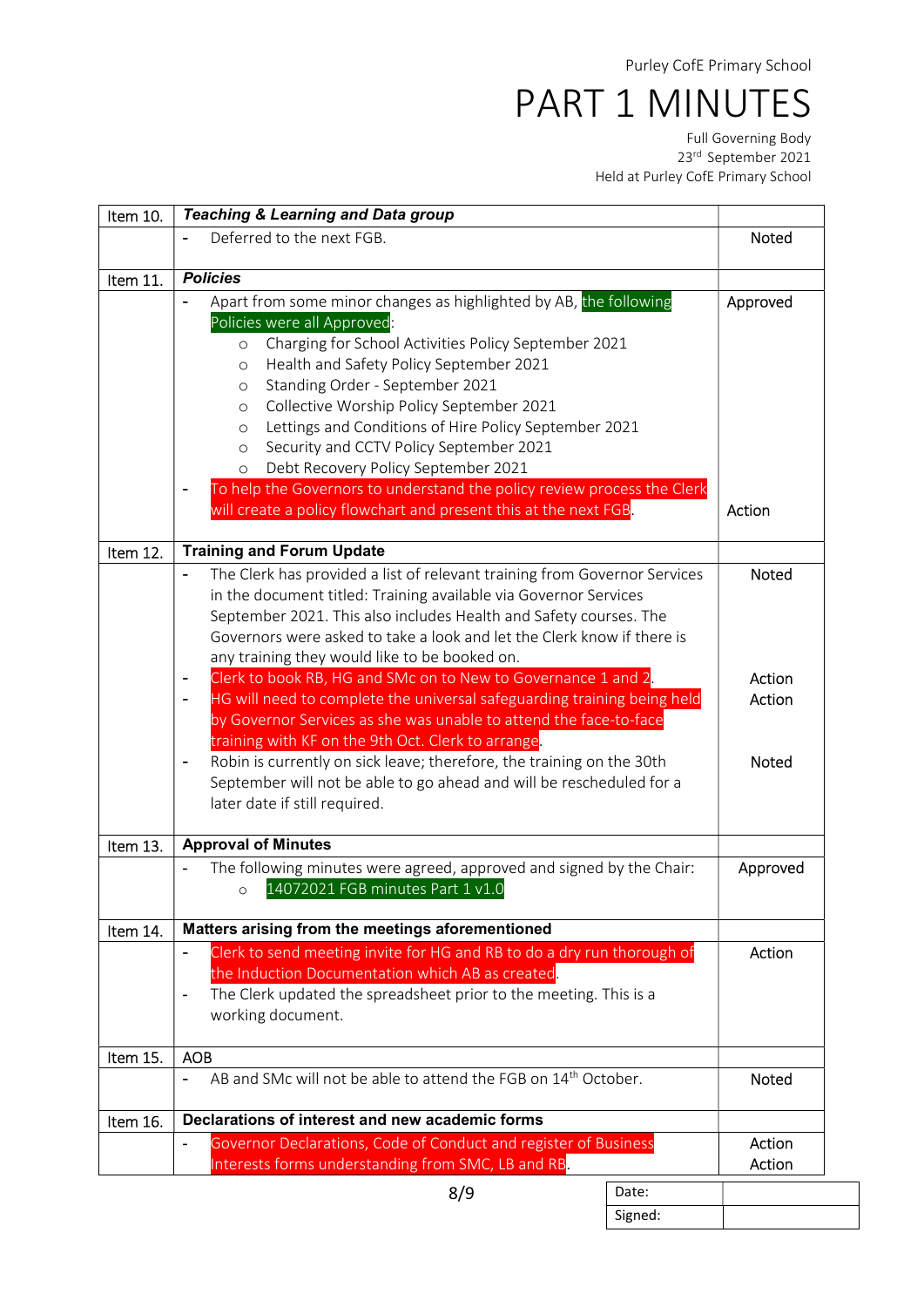Full Governing Body 23rd September 2021 Held at Purley CofE Primary School

| Item 10. | <b>Teaching &amp; Learning and Data group</b>                                                                                                                                                                                                                                                                                                                                                                                                                                                                                                                             |                  |
|----------|---------------------------------------------------------------------------------------------------------------------------------------------------------------------------------------------------------------------------------------------------------------------------------------------------------------------------------------------------------------------------------------------------------------------------------------------------------------------------------------------------------------------------------------------------------------------------|------------------|
|          | Deferred to the next FGB.                                                                                                                                                                                                                                                                                                                                                                                                                                                                                                                                                 | <b>Noted</b>     |
| Item 11. | <b>Policies</b>                                                                                                                                                                                                                                                                                                                                                                                                                                                                                                                                                           |                  |
|          | Apart from some minor changes as highlighted by AB, the following<br>Policies were all Approved:<br>Charging for School Activities Policy September 2021<br>$\circ$<br>Health and Safety Policy September 2021<br>$\circ$<br>Standing Order - September 2021<br>O<br>Collective Worship Policy September 2021<br>O<br>Lettings and Conditions of Hire Policy September 2021<br>$\circ$<br>Security and CCTV Policy September 2021<br>$\circ$<br>Debt Recovery Policy September 2021<br>$\circ$<br>To help the Governors to understand the policy review process the Clerk | Approved         |
|          | will create a policy flowchart and present this at the next FGB.                                                                                                                                                                                                                                                                                                                                                                                                                                                                                                          | Action           |
| Item 12. | <b>Training and Forum Update</b>                                                                                                                                                                                                                                                                                                                                                                                                                                                                                                                                          |                  |
|          | The Clerk has provided a list of relevant training from Governor Services<br>in the document titled: Training available via Governor Services<br>September 2021. This also includes Health and Safety courses. The<br>Governors were asked to take a look and let the Clerk know if there is<br>any training they would like to be booked on.                                                                                                                                                                                                                             | <b>Noted</b>     |
|          | Clerk to book RB, HG and SMc on to New to Governance 1 and 2.                                                                                                                                                                                                                                                                                                                                                                                                                                                                                                             | Action           |
|          | HG will need to complete the universal safeguarding training being held<br>by Governor Services as she was unable to attend the face-to-face<br>training with KF on the 9th Oct. Clerk to arrange.                                                                                                                                                                                                                                                                                                                                                                        | Action           |
|          | Robin is currently on sick leave; therefore, the training on the 30th<br>-<br>September will not be able to go ahead and will be rescheduled for a<br>later date if still required.                                                                                                                                                                                                                                                                                                                                                                                       | Noted            |
| Item 13. | <b>Approval of Minutes</b>                                                                                                                                                                                                                                                                                                                                                                                                                                                                                                                                                |                  |
|          | The following minutes were agreed, approved and signed by the Chair:<br>14072021 FGB minutes Part 1 v1.0<br>$\circ$                                                                                                                                                                                                                                                                                                                                                                                                                                                       | Approved         |
| Item 14. | Matters arising from the meetings aforementioned                                                                                                                                                                                                                                                                                                                                                                                                                                                                                                                          |                  |
|          | Clerk to send meeting invite for HG and RB to do a dry run thorough of<br>$\overline{\phantom{a}}$<br>the Induction Documentation which AB as created.<br>The Clerk updated the spreadsheet prior to the meeting. This is a<br>working document.                                                                                                                                                                                                                                                                                                                          | Action           |
| Item 15. | <b>AOB</b>                                                                                                                                                                                                                                                                                                                                                                                                                                                                                                                                                                |                  |
|          | AB and SMc will not be able to attend the FGB on 14 <sup>th</sup> October.                                                                                                                                                                                                                                                                                                                                                                                                                                                                                                | Noted            |
| Item 16. | Declarations of interest and new academic forms                                                                                                                                                                                                                                                                                                                                                                                                                                                                                                                           |                  |
|          | Governor Declarations, Code of Conduct and register of Business<br>Interests forms understanding from SMC, LB and RB.                                                                                                                                                                                                                                                                                                                                                                                                                                                     | Action<br>Action |

Date: Signed: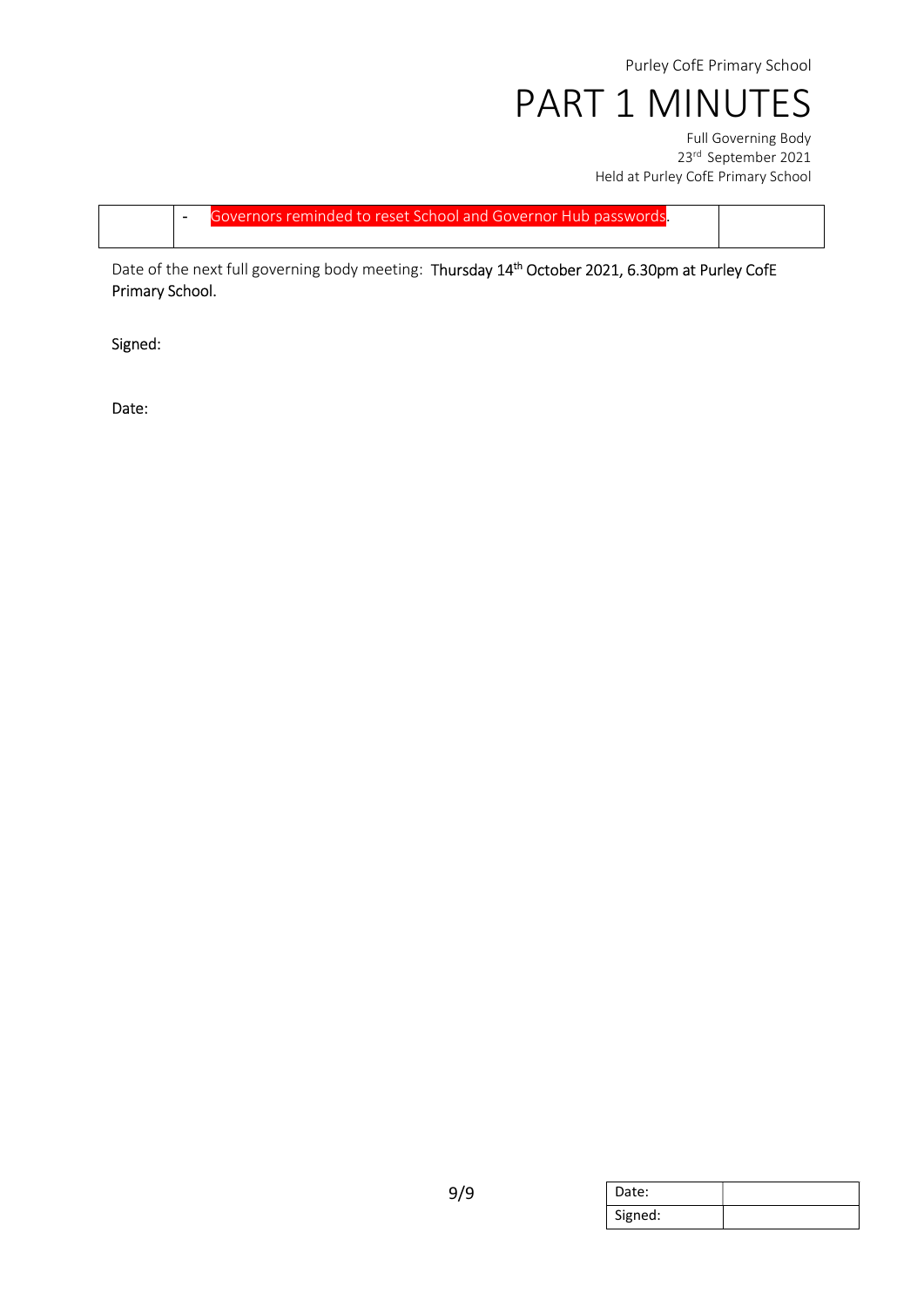Purley CofE Primary School

PART 1 MINUTES

Full Governing Body 23rd September 2021 Held at Purley CofE Primary School

- Governors reminded to reset School and Governor Hub passwords.

Date of the next full governing body meeting: Thursday 14<sup>th</sup> October 2021, 6.30pm at Purley CofE Primary School.

Signed:

Date:

| Date:   |  |
|---------|--|
| Signed: |  |